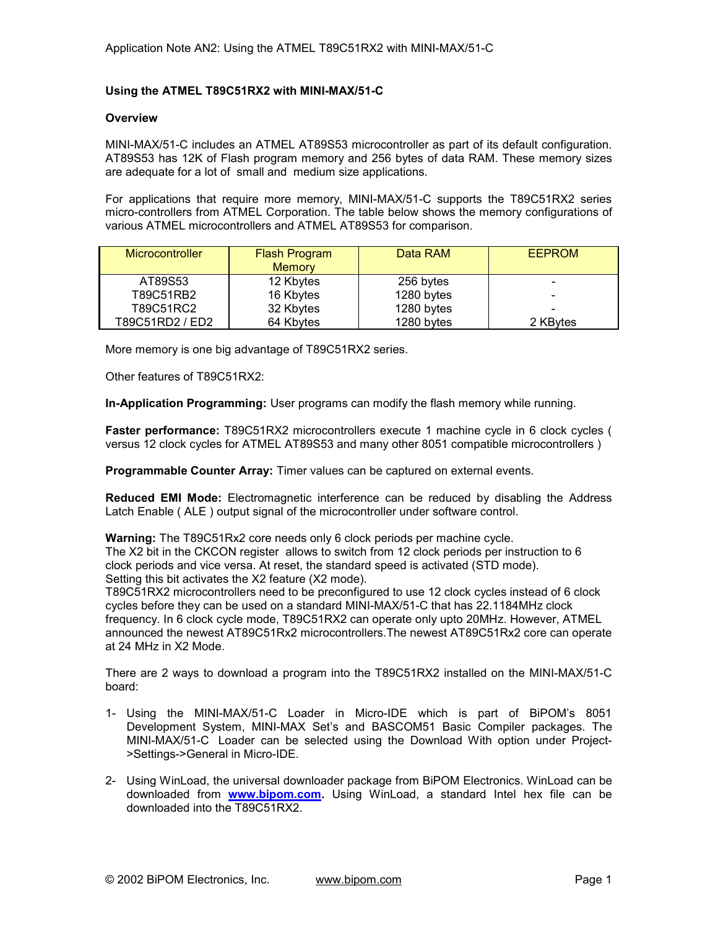## **Using the ATMEL T89C51RX2 with MINI-MAX/51-C**

## **Overview**

MINI-MAX/51-C includes an ATMEL AT89S53 microcontroller as part of its default configuration. AT89S53 has 12K of Flash program memory and 256 bytes of data RAM. These memory sizes are adequate for a lot of small and medium size applications.

For applications that require more memory, MINI-MAX/51-C supports the T89C51RX2 series micro-controllers from ATMEL Corporation. The table below shows the memory configurations of various ATMEL microcontrollers and ATMEL AT89S53 for comparison.

| <b>Microcontroller</b> | <b>Flash Program</b><br><b>Memory</b> | Data RAM   | <b>EEPROM</b> |
|------------------------|---------------------------------------|------------|---------------|
| AT89S53                | 12 Kbytes                             | 256 bytes  |               |
| T89C51RB2              | 16 Kbytes                             | 1280 bytes |               |
| T89C51RC2              | 32 Kbytes                             | 1280 bytes |               |
| T89C51RD2 / ED2        | 64 Kbytes                             | 1280 bytes | 2 KBytes      |

More memory is one big advantage of T89C51RX2 series.

Other features of T89C51RX2:

**In-Application Programming:** User programs can modify the flash memory while running.

**Faster performance:** T89C51RX2 microcontrollers execute 1 machine cycle in 6 clock cycles ( versus 12 clock cycles for ATMEL AT89S53 and many other 8051 compatible microcontrollers )

**Programmable Counter Array:** Timer values can be captured on external events.

**Reduced EMI Mode:** Electromagnetic interference can be reduced by disabling the Address Latch Enable ( ALE ) output signal of the microcontroller under software control.

**Warning:** The T89C51Rx2 core needs only 6 clock periods per machine cycle. The X2 bit in the CKCON register allows to switch from 12 clock periods per instruction to 6 clock periods and vice versa. At reset, the standard speed is activated (STD mode). Setting this bit activates the X2 feature (X2 mode).

T89C51RX2 microcontrollers need to be preconfigured to use 12 clock cycles instead of 6 clock cycles before they can be used on a standard MINI-MAX/51-C that has 22.1184MHz clock frequency. In 6 clock cycle mode, T89C51RX2 can operate only upto 20MHz. However, ATMEL announced the newest AT89C51Rx2 microcontrollers.The newest AT89C51Rx2 core can operate at 24 MHz in X2 Mode.

There are 2 ways to download a program into the T89C51RX2 installed on the MINI-MAX/51-C board:

- 1- Using the MINI-MAX/51-C Loader in Micro-IDE which is part of BiPOM's 8051 Development System, MINI-MAX Set's and BASCOM51 Basic Compiler packages. The MINI-MAX/51-C Loader can be selected using the Download With option under Project- >Settings->General in Micro-IDE.
- 2- Using WinLoad, the universal downloader package from BiPOM Electronics. WinLoad can be downloaded from **[www.bipom.com](http://www.bipom.com).** Using WinLoad, a standard Intel hex file can be downloaded into the T89C51RX2.